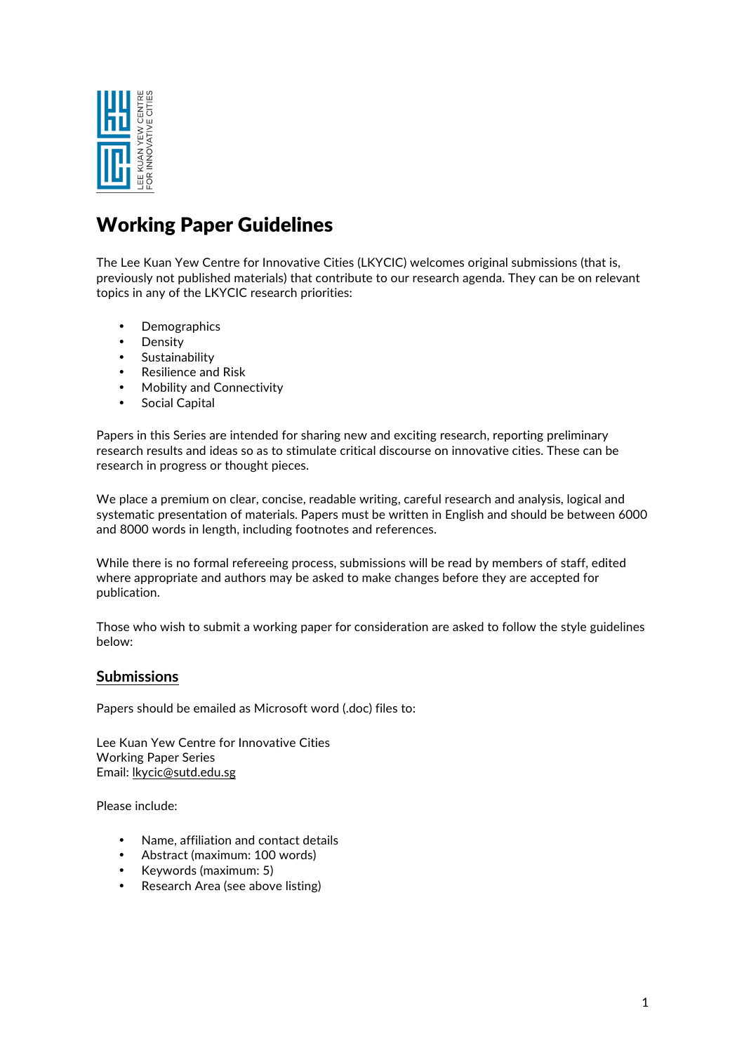

# Working Paper Guidelines

The Lee Kuan Yew Centre for Innovative Cities (LKYCIC) welcomes original submissions (that is, previously not published materials) that contribute to our research agenda. They can be on relevant topics in any of the LKYCIC research priorities:

- Demographics
- **Density**
- Sustainability
- Resilience and Risk
- Mobility and Connectivity
- Social Capital

Papers in this Series are intended for sharing new and exciting research, reporting preliminary research results and ideas so as to stimulate critical discourse on innovative cities. These can be research in progress or thought pieces.

We place a premium on clear, concise, readable writing, careful research and analysis, logical and systematic presentation of materials. Papers must be written in English and should be between 6000 and 8000 words in length, including footnotes and references.

While there is no formal refereeing process, submissions will be read by members of staff, edited where appropriate and authors may be asked to make changes before they are accepted for publication.

Those who wish to submit a working paper for consideration are asked to follow the style guidelines below:

## **Submissions**

Papers should be emailed as Microsoft word (.doc) files to:

Lee Kuan Yew Centre for Innovative Cities Working Paper Series Email: lkycic@sutd.edu.sg

Please include:

- Name, affiliation and contact details
- Abstract (maximum: 100 words)
- Keywords (maximum: 5)
- Research Area (see above listing)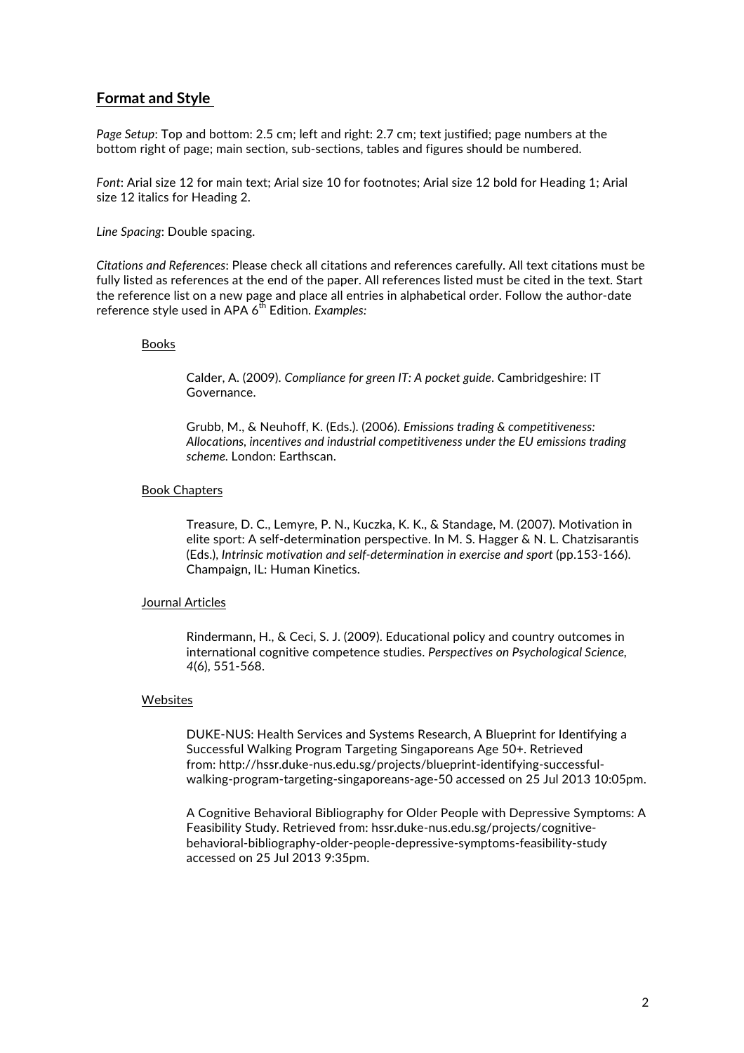### **Format and Style**

*Page Setup*: Top and bottom: 2.5 cm; left and right: 2.7 cm; text justified; page numbers at the bottom right of page; main section, sub-sections, tables and figures should be numbered.

*Font*: Arial size 12 for main text; Arial size 10 for footnotes; Arial size 12 bold for Heading 1; Arial size 12 italics for Heading 2.

*Line Spacing*: Double spacing.

*Citations and References*: Please check all citations and references carefully. All text citations must be fully listed as references at the end of the paper. All references listed must be cited in the text. Start the reference list on a new page and place all entries in alphabetical order. Follow the author-date reference style used in APA 6<sup>th</sup> Edition. *Examples:* 

#### Books

Calder, A. (2009). *Compliance for green IT: A pocket guide*. Cambridgeshire: IT Governance.

Grubb, M., & Neuhoff, K. (Eds.). (2006). *Emissions trading & competitiveness: Allocations, incentives and industrial competitiveness under the EU emissions trading scheme.* London: Earthscan.

#### Book Chapters

Treasure, D. C., Lemyre, P. N., Kuczka, K. K., & Standage, M. (2007). Motivation in elite sport: A self-determination perspective. In M. S. Hagger & N. L. Chatzisarantis (Eds.), *Intrinsic motivation and self-determination in exercise and sport* (pp.153-166). Champaign, IL: Human Kinetics.

#### Journal Articles

Rindermann, H., & Ceci, S. J. (2009). Educational policy and country outcomes in international cognitive competence studies. *Perspectives on Psychological Science, 4*(6), 551-568.

#### Websites

DUKE-NUS: Health Services and Systems Research, A Blueprint for Identifying a Successful Walking Program Targeting Singaporeans Age 50+. Retrieved from: http://hssr.duke-nus.edu.sg/projects/blueprint-identifying-successfulwalking-program-targeting-singaporeans-age-50 accessed on 25 Jul 2013 10:05pm.

A Cognitive Behavioral Bibliography for Older People with Depressive Symptoms: A Feasibility Study. Retrieved from: hssr.duke-nus.edu.sg/projects/cognitivebehavioral-bibliography-older-people-depressive-symptoms-feasibility-study accessed on 25 Jul 2013 9:35pm.